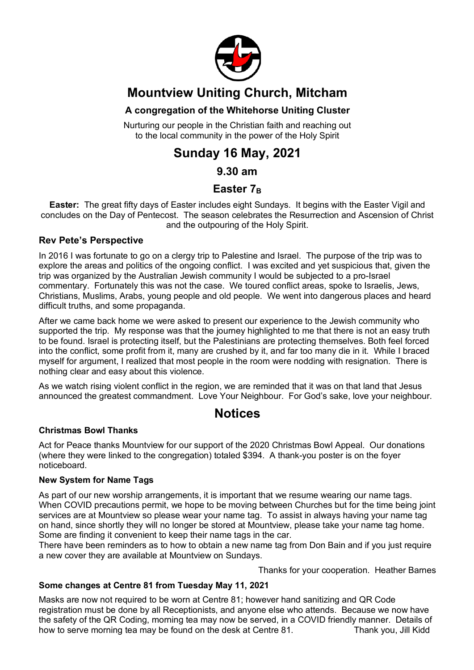

## **Mountview Uniting Church, Mitcham**

#### **A congregation of the Whitehorse Uniting Cluster**

Nurturing our people in the Christian faith and reaching out to the local community in the power of the Holy Spirit

## **Sunday 16 May, 2021**

#### **9.30 am**

#### Easter 7<sub>B</sub>

**Easter:** The great fifty days of Easter includes eight Sundays. It begins with the Easter Vigil and concludes on the Day of Pentecost. The season celebrates the Resurrection and Ascension of Christ and the outpouring of the Holy Spirit.

#### **Rev Pete's Perspective**

In 2016 I was fortunate to go on a clergy trip to Palestine and Israel. The purpose of the trip was to explore the areas and politics of the ongoing conflict. I was excited and yet suspicious that, given the trip was organized by the Australian Jewish community I would be subjected to a pro-Israel commentary. Fortunately this was not the case. We toured conflict areas, spoke to Israelis, Jews, Christians, Muslims, Arabs, young people and old people. We went into dangerous places and heard difficult truths, and some propaganda.

After we came back home we were asked to present our experience to the Jewish community who supported the trip. My response was that the journey highlighted to me that there is not an easy truth to be found. Israel is protecting itself, but the Palestinians are protecting themselves. Both feel forced into the conflict, some profit from it, many are crushed by it, and far too many die in it. While I braced myself for argument, I realized that most people in the room were nodding with resignation. There is nothing clear and easy about this violence.

As we watch rising violent conflict in the region, we are reminded that it was on that land that Jesus announced the greatest commandment. Love Your Neighbour. For God's sake, love your neighbour.

### **Notices**

#### **Christmas Bowl Thanks**

Act for Peace thanks Mountview for our support of the 2020 Christmas Bowl Appeal. Our donations (where they were linked to the congregation) totaled \$394. A thank-you poster is on the foyer noticeboard.

#### **New System for Name Tags**

As part of our new worship arrangements, it is important that we resume wearing our name tags. When COVID precautions permit, we hope to be moving between Churches but for the time being joint services are at Mountview so please wear your name tag. To assist in always having your name tag on hand, since shortly they will no longer be stored at Mountview, please take your name tag home. Some are finding it convenient to keep their name tags in the car.

There have been reminders as to how to obtain a new name tag from Don Bain and if you just require a new cover they are available at Mountview on Sundays.

Thanks for your cooperation. Heather Barnes

#### **Some changes at Centre 81 from Tuesday May 11, 2021**

Masks are now not required to be worn at Centre 81; however hand sanitizing and QR Code registration must be done by all Receptionists, and anyone else who attends. Because we now have the safety of the QR Coding, morning tea may now be served, in a COVID friendly manner. Details of how to serve morning tea may be found on the desk at Centre 81. Thank you, Jill Kidd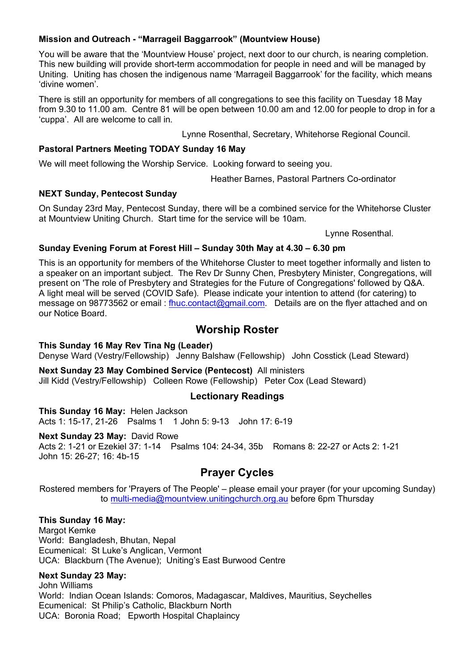#### **Mission and Outreach - "Marrageil Baggarrook" (Mountview House)**

You will be aware that the 'Mountview House' project, next door to our church, is nearing completion. This new building will provide short-term accommodation for people in need and will be managed by Uniting. Uniting has chosen the indigenous name 'Marrageil Baggarrook' for the facility, which means 'divine women'.

There is still an opportunity for members of all congregations to see this facility on Tuesday 18 May from 9.30 to 11.00 am. Centre 81 will be open between 10.00 am and 12.00 for people to drop in for a 'cuppa'. All are welcome to call in.

Lynne Rosenthal, Secretary, Whitehorse Regional Council.

#### **Pastoral Partners Meeting TODAY Sunday 16 May**

We will meet following the Worship Service. Looking forward to seeing you.

Heather Barnes, Pastoral Partners Co-ordinator

#### **NEXT Sunday, Pentecost Sunday**

On Sunday 23rd May, Pentecost Sunday, there will be a combined service for the Whitehorse Cluster at Mountview Uniting Church. Start time for the service will be 10am.

Lynne Rosenthal.

#### **Sunday Evening Forum at Forest Hill – Sunday 30th May at 4.30 – 6.30 pm**

This is an opportunity for members of the Whitehorse Cluster to meet together informally and listen to a speaker on an important subject. The Rev Dr Sunny Chen, Presbytery Minister, Congregations, will present on 'The role of Presbytery and Strategies for the Future of Congregations' followed by Q&A. A light meal will be served (COVID Safe). Please indicate your intention to attend (for catering) to message on 98773562 or email: fhuc.contact@gmail.com. Details are on the flyer attached and on our Notice Board.

#### **Worship Roster**

**This Sunday 16 May Rev Tina Ng (Leader)**

Denyse Ward (Vestry/Fellowship) Jenny Balshaw (Fellowship) John Cosstick (Lead Steward)

**Next Sunday 23 May Combined Service (Pentecost)** All ministers Jill Kidd (Vestry/Fellowship) Colleen Rowe (Fellowship) Peter Cox (Lead Steward)

#### **Lectionary Readings**

**This Sunday 16 May:** Helen Jackson Acts 1: 15-17, 21-26 Psalms 1 1 John 5: 9-13 John 17: 6-19

**Next Sunday 23 May:** David Rowe Acts 2: 1-21 or Ezekiel 37: 1-14 Psalms 104: 24-34, 35b Romans 8: 22-27 or Acts 2: 1-21 John 15: 26-27; 16: 4b-15

#### **Prayer Cycles**

Rostered members for 'Prayers of The People' – please email your prayer (for your upcoming Sunday) to multi-media@mountview.unitingchurch.org.au before 6pm Thursday

#### **This Sunday 16 May:**

Margot Kemke World: Bangladesh, Bhutan, Nepal Ecumenical: St Luke's Anglican, Vermont UCA: Blackburn (The Avenue); Uniting's East Burwood Centre

#### **Next Sunday 23 May:**

John Williams World: Indian Ocean Islands: Comoros, Madagascar, Maldives, Mauritius, Seychelles Ecumenical: St Philip's Catholic, Blackburn North UCA: Boronia Road; Epworth Hospital Chaplaincy